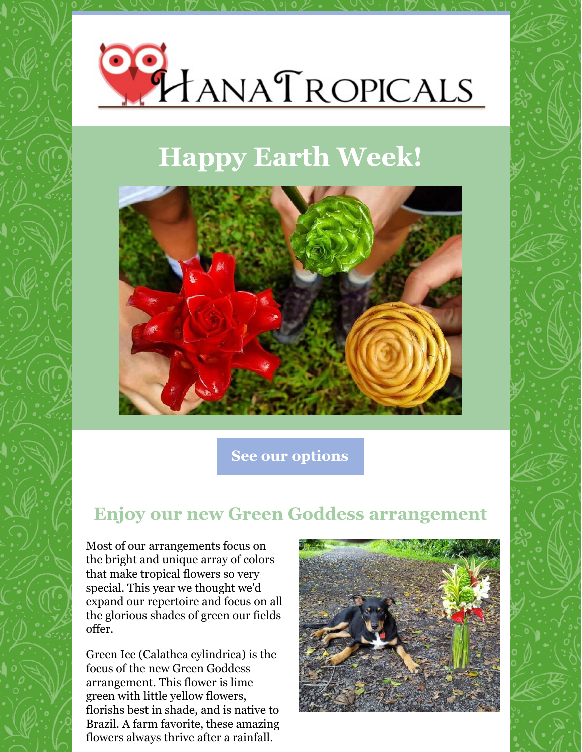

## **Happy Earth Week!**



**See our [options](http://www.hanatropicals.com)**

### **Enjoy our new Green Goddess arrangement**

Most of our arrangements focus on the bright and unique array of colors that make tropical flowers so very special. This year we thought we'd expand our repertoire and focus on all the glorious shades of green our fields offer.

Green Ice (Calathea cylindrica) is the focus of the new Green Goddess arrangement. This flower is lime green with little yellow flowers, florishs best in shade, and is native to Brazil. A farm favorite, these amazing flowers always thrive after a rainfall.

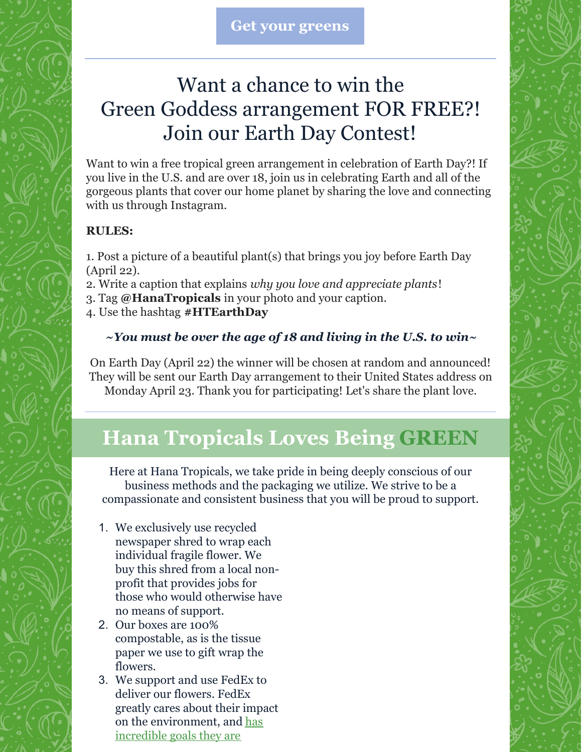### Want a chance to win the Green Goddess arrangement FOR FREE?! Join our Earth Day Contest!

Want to win a free tropical green arrangement in celebration of Earth Day?! If you live in the U.S. and are over 18, join us in celebrating Earth and all of the gorgeous plants that cover our home planet by sharing the love and connecting with us through Instagram.

#### **RULES:**

1. Post a picture of a beautiful plant(s) that brings you joy before Earth Day (April 22).

- 2. Write a caption that explains *why you love and appreciate plants*!
- 3. Tag **@HanaTropicals** in your photo and your caption.
- 4. Use the hashtag **#HTEarthDay**

#### *~You must be over the age of 18 and living in the U.S. to win~*

On Earth Day (April 22) the winner will be chosen at random and announced! They will be sent our Earth Day arrangement to their United States address on Monday April 23. Thank you for participating! Let's share the plant love.

### **Hana Tropicals Loves Being GREEN**

Here at Hana Tropicals, we take pride in being deeply conscious of our business methods and the packaging we utilize. We strive to be a compassionate and consistent business that you will be proud to support.

- 1. We exclusively use recycled newspaper shred to wrap each individual fragile flower. We buy this shred from a local nonprofit that provides jobs for those who would otherwise have no means of support.
- 2. Our boxes are 100% compostable, as is the tissue paper we use to gift wrap the flowers.
- 3. We support and use FedEx to deliver our flowers. FedEx greatly cares about their impact on the [environment,](http://www.fedex.com/bt/about/sustainability/environment.html) and has incredible goals they are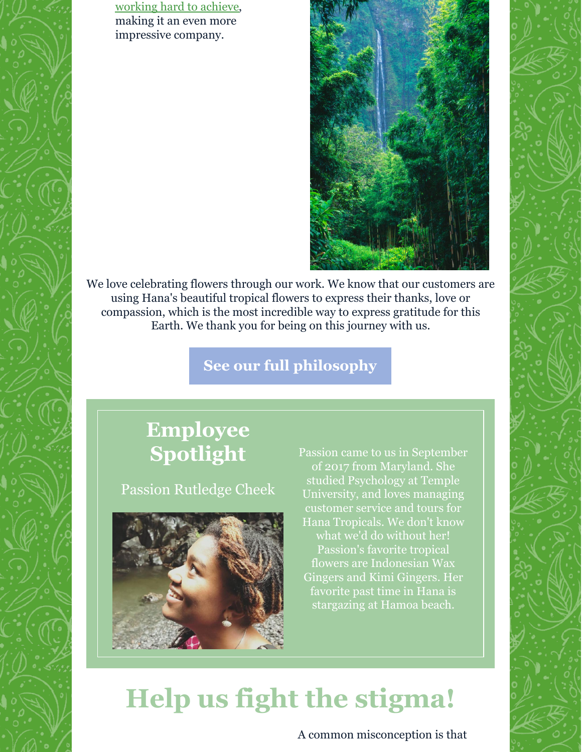working hard to achieve, making it an even more impressive company.



We love celebrating flowers through our work. We know that our customers are using Hana's beautiful tropical flowers to express their thanks, love or compassion, which is the most incredible way to express gratitude for this Earth. We thank you for being on this journey with us.

#### **See our full [philosophy](http://hanatropicals.com/our-philosophy/)**

### **Employee Spotlight**

Passion Rutledge Cheek



Passion came to us in September of 2017 from Maryland. She studied Psychology at Temple University, and loves managing customer service and tours for Hana Tropicals. We don't know what we'd do without her! Passion's favorite tropical flowers are Indonesian Wax Gingers and Kimi Gingers. Her favorite past time in Hana is stargazing at Hamoa beach.

# **Help us fight the stigma!**

A common misconception is that